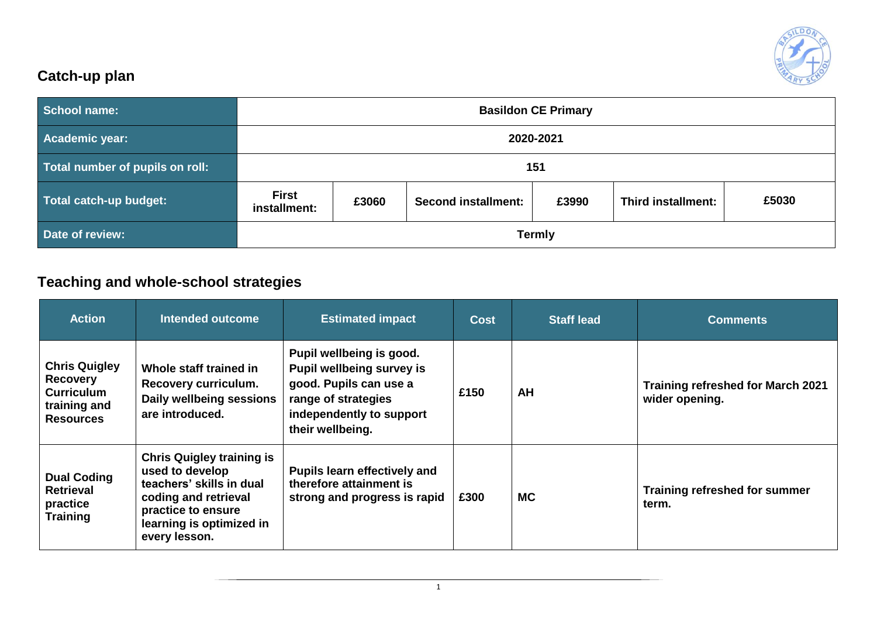

## **Catch-up plan**

| <b>School name:</b>             | <b>Basildon CE Primary</b>   |       |                            |       |                    |       |  |
|---------------------------------|------------------------------|-------|----------------------------|-------|--------------------|-------|--|
| <b>Academic year:</b>           | 2020-2021                    |       |                            |       |                    |       |  |
| Total number of pupils on roll: |                              | 151   |                            |       |                    |       |  |
| Total catch-up budget:          | <b>First</b><br>installment: | £3060 | <b>Second installment:</b> | £3990 | Third installment: | £5030 |  |
| Date of review:                 | <b>Termly</b>                |       |                            |       |                    |       |  |

## **Teaching and whole-school strategies**

| <b>Action</b>                                                                                    | Intended outcome                                                                                                                                                           | <b>Estimated impact</b>                                                                                                                                       | <b>Cost</b> | <b>Staff lead</b> | <b>Comments</b>                                            |
|--------------------------------------------------------------------------------------------------|----------------------------------------------------------------------------------------------------------------------------------------------------------------------------|---------------------------------------------------------------------------------------------------------------------------------------------------------------|-------------|-------------------|------------------------------------------------------------|
| <b>Chris Quigley</b><br><b>Recovery</b><br><b>Curriculum</b><br>training and<br><b>Resources</b> | Whole staff trained in<br>Recovery curriculum.<br>Daily wellbeing sessions<br>are introduced.                                                                              | Pupil wellbeing is good.<br><b>Pupil wellbeing survey is</b><br>good. Pupils can use a<br>range of strategies<br>independently to support<br>their wellbeing. | £150        | AH                | <b>Training refreshed for March 2021</b><br>wider opening. |
| <b>Dual Coding</b><br><b>Retrieval</b><br>practice<br><b>Training</b>                            | <b>Chris Quigley training is</b><br>used to develop<br>teachers' skills in dual<br>coding and retrieval<br>practice to ensure<br>learning is optimized in<br>every lesson. | Pupils learn effectively and<br>therefore attainment is<br>strong and progress is rapid                                                                       | £300        | <b>MC</b>         | <b>Training refreshed for summer</b><br>term.              |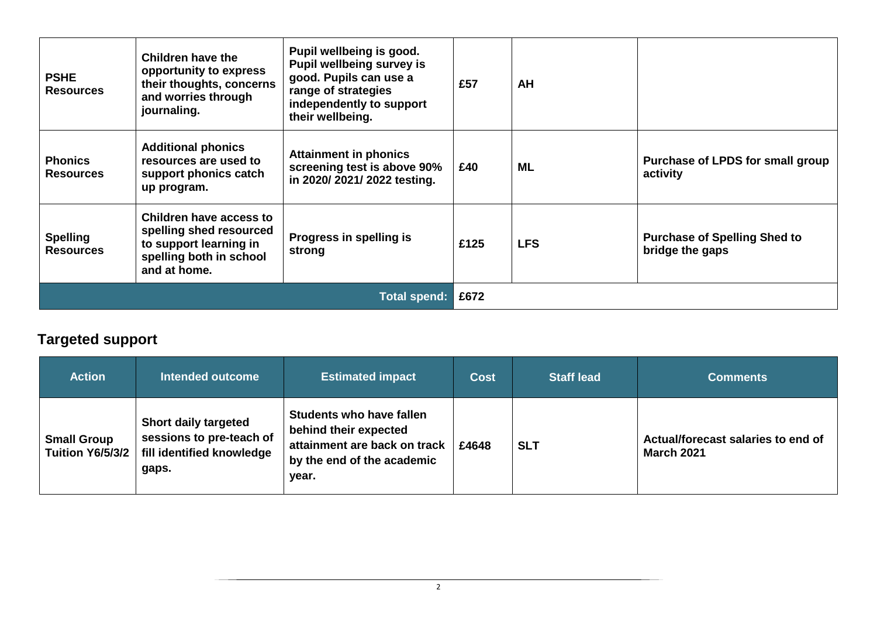| <b>PSHE</b><br><b>Resources</b>     | Children have the<br>opportunity to express<br>their thoughts, concerns<br>and worries through<br>journaling.           | Pupil wellbeing is good.<br>Pupil wellbeing survey is<br>good. Pupils can use a<br>range of strategies<br>independently to support<br>their wellbeing. | £57  | AH         |                                                        |
|-------------------------------------|-------------------------------------------------------------------------------------------------------------------------|--------------------------------------------------------------------------------------------------------------------------------------------------------|------|------------|--------------------------------------------------------|
| <b>Phonics</b><br><b>Resources</b>  | <b>Additional phonics</b><br>resources are used to<br>support phonics catch<br>up program.                              | <b>Attainment in phonics</b><br>screening test is above 90%<br>in 2020/2021/2022 testing.                                                              | £40  | ML         | Purchase of LPDS for small group<br>activity           |
| <b>Spelling</b><br><b>Resources</b> | Children have access to<br>spelling shed resourced<br>to support learning in<br>spelling both in school<br>and at home. | Progress in spelling is<br>strong                                                                                                                      | £125 | <b>LFS</b> | <b>Purchase of Spelling Shed to</b><br>bridge the gaps |
| <b>Total spend:</b>                 |                                                                                                                         |                                                                                                                                                        | £672 |            |                                                        |

# **Targeted support**

| <b>Action</b>                                 | <b>Intended outcome</b>                                                                       | <b>Estimated impact</b>                                                                                                         | <b>Cost</b> | <b>Staff lead</b> | <b>Comments</b>                                         |
|-----------------------------------------------|-----------------------------------------------------------------------------------------------|---------------------------------------------------------------------------------------------------------------------------------|-------------|-------------------|---------------------------------------------------------|
| <b>Small Group</b><br><b>Tuition Y6/5/3/2</b> | <b>Short daily targeted</b><br>sessions to pre-teach of<br>fill identified knowledge<br>gaps. | <b>Students who have fallen</b><br>behind their expected<br>attainment are back on track<br>by the end of the academic<br>year. | £4648       | <b>SLT</b>        | Actual/forecast salaries to end of<br><b>March 2021</b> |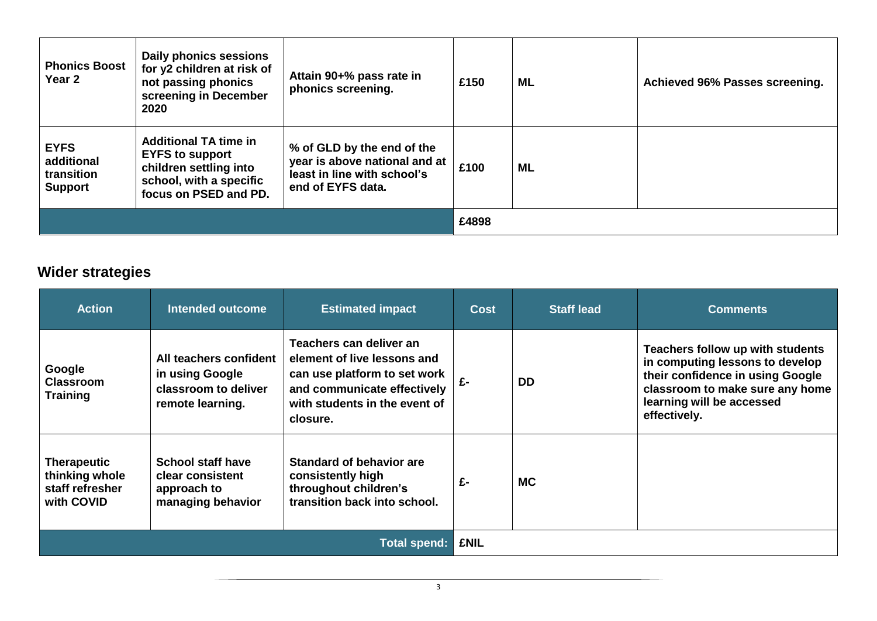| <b>Phonics Boost</b><br>Year 2                            | Daily phonics sessions<br>for y2 children at risk of<br>not passing phonics<br>screening in December<br>2020                         | Attain 90+% pass rate in<br>phonics screening.                                                                  | £150  | ML | Achieved 96% Passes screening. |
|-----------------------------------------------------------|--------------------------------------------------------------------------------------------------------------------------------------|-----------------------------------------------------------------------------------------------------------------|-------|----|--------------------------------|
| <b>EYFS</b><br>additional<br>transition<br><b>Support</b> | <b>Additional TA time in</b><br><b>EYFS to support</b><br>children settling into<br>school, with a specific<br>focus on PSED and PD. | % of GLD by the end of the<br>year is above national and at<br>least in line with school's<br>end of EYFS data. | £100  | ML |                                |
|                                                           |                                                                                                                                      |                                                                                                                 | £4898 |    |                                |

## **Wider strategies**

| <b>Action</b>                                                         | Intended outcome                                                                      | <b>Estimated impact</b>                                                                                                                                            | <b>Cost</b> | <b>Staff lead</b> | <b>Comments</b>                                                                                                                                                                         |
|-----------------------------------------------------------------------|---------------------------------------------------------------------------------------|--------------------------------------------------------------------------------------------------------------------------------------------------------------------|-------------|-------------------|-----------------------------------------------------------------------------------------------------------------------------------------------------------------------------------------|
| Google<br><b>Classroom</b><br><b>Training</b>                         | All teachers confident<br>in using Google<br>classroom to deliver<br>remote learning. | Teachers can deliver an<br>element of live lessons and<br>can use platform to set work<br>and communicate effectively<br>with students in the event of<br>closure. | £-          | <b>DD</b>         | Teachers follow up with students<br>in computing lessons to develop<br>their confidence in using Google<br>classroom to make sure any home<br>learning will be accessed<br>effectively. |
| <b>Therapeutic</b><br>thinking whole<br>staff refresher<br>with COVID | <b>School staff have</b><br>clear consistent<br>approach to<br>managing behavior      | <b>Standard of behavior are</b><br>consistently high<br>throughout children's<br>transition back into school.                                                      | £-          | <b>MC</b>         |                                                                                                                                                                                         |
|                                                                       |                                                                                       | <b>Total spend:</b>                                                                                                                                                | <b>£NIL</b> |                   |                                                                                                                                                                                         |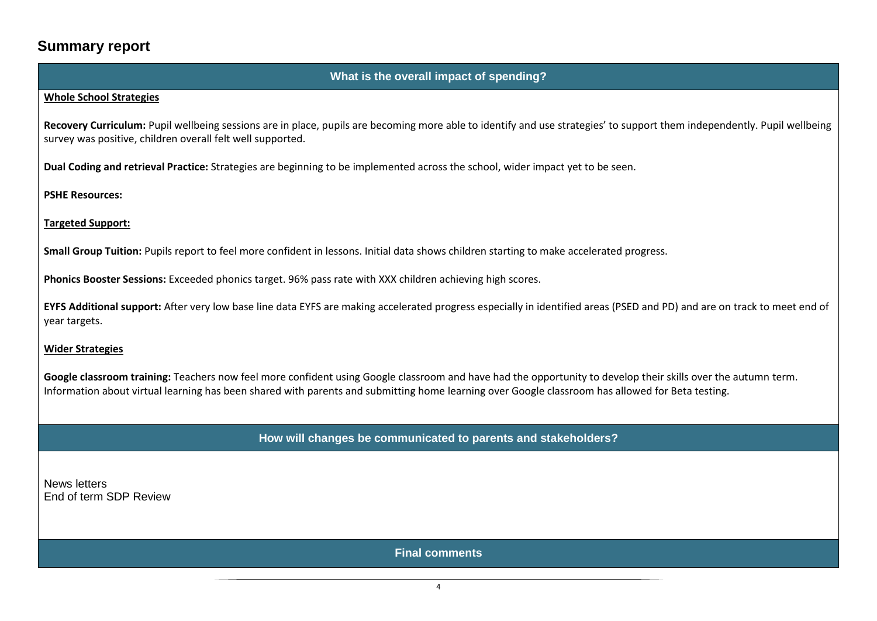### **Summary report**

### **What is the overall impact of spending?**

#### **Whole School Strategies**

**Recovery Curriculum:** Pupil wellbeing sessions are in place, pupils are becoming more able to identify and use strategies' to support them independently. Pupil wellbeing survey was positive, children overall felt well supported.

**Dual Coding and retrieval Practice:** Strategies are beginning to be implemented across the school, wider impact yet to be seen.

**PSHE Resources:** 

**Targeted Support:**

**Small Group Tuition:** Pupils report to feel more confident in lessons. Initial data shows children starting to make accelerated progress.

**Phonics Booster Sessions:** Exceeded phonics target. 96% pass rate with XXX children achieving high scores.

**EYFS Additional support:** After very low base line data EYFS are making accelerated progress especially in identified areas (PSED and PD) and are on track to meet end of year targets.

### **Wider Strategies**

Google classroom training: Teachers now feel more confident using Google classroom and have had the opportunity to develop their skills over the autumn term. Information about virtual learning has been shared with parents and submitting home learning over Google classroom has allowed for Beta testing.

**How will changes be communicated to parents and stakeholders?**

News letters End of term SDP Review

**Final comments**